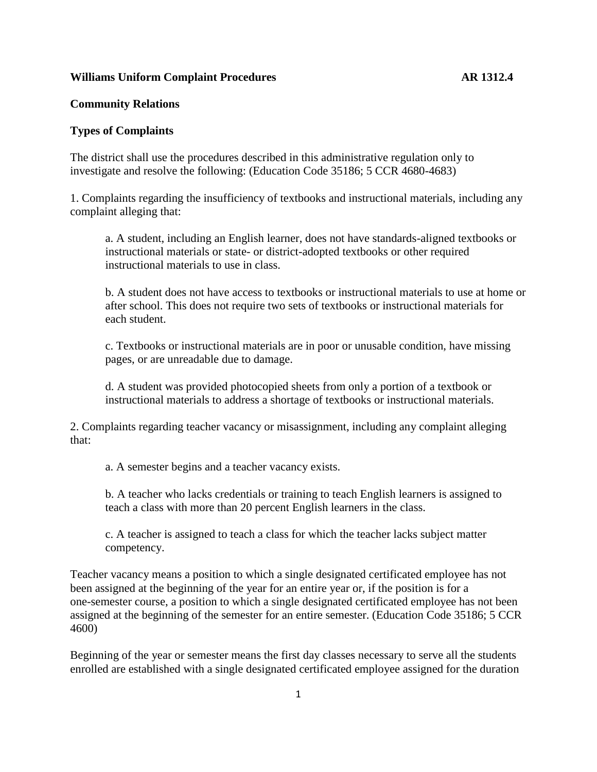### **Williams Uniform Complaint Procedures AR 1312.4**

# **Community Relations**

### **Types of Complaints**

The district shall use the procedures described in this administrative regulation only to investigate and resolve the following: (Education Code 35186; 5 CCR 4680-4683)

1. Complaints regarding the insufficiency of textbooks and instructional materials, including any complaint alleging that:

a. A student, including an English learner, does not have standards-aligned textbooks or instructional materials or state- or district-adopted textbooks or other required instructional materials to use in class.

b. A student does not have access to textbooks or instructional materials to use at home or after school. This does not require two sets of textbooks or instructional materials for each student.

c. Textbooks or instructional materials are in poor or unusable condition, have missing pages, or are unreadable due to damage.

d. A student was provided photocopied sheets from only a portion of a textbook or instructional materials to address a shortage of textbooks or instructional materials.

2. Complaints regarding teacher vacancy or misassignment, including any complaint alleging that:

a. A semester begins and a teacher vacancy exists.

b. A teacher who lacks credentials or training to teach English learners is assigned to teach a class with more than 20 percent English learners in the class.

c. A teacher is assigned to teach a class for which the teacher lacks subject matter competency.

Teacher vacancy means a position to which a single designated certificated employee has not been assigned at the beginning of the year for an entire year or, if the position is for a one-semester course, a position to which a single designated certificated employee has not been assigned at the beginning of the semester for an entire semester. (Education Code 35186; 5 CCR 4600)

Beginning of the year or semester means the first day classes necessary to serve all the students enrolled are established with a single designated certificated employee assigned for the duration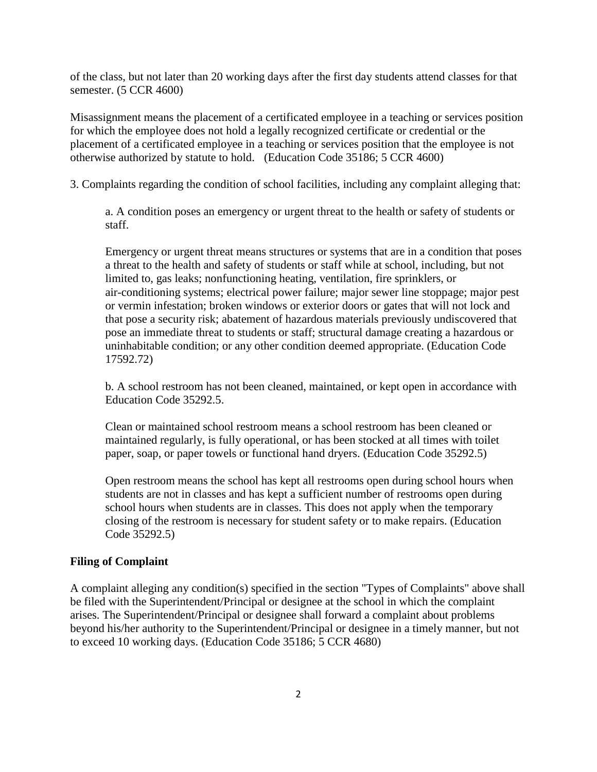of the class, but not later than 20 working days after the first day students attend classes for that semester. (5 CCR 4600)

Misassignment means the placement of a certificated employee in a teaching or services position for which the employee does not hold a legally recognized certificate or credential or the placement of a certificated employee in a teaching or services position that the employee is not otherwise authorized by statute to hold. (Education Code 35186; 5 CCR 4600)

3. Complaints regarding the condition of school facilities, including any complaint alleging that:

a. A condition poses an emergency or urgent threat to the health or safety of students or staff.

Emergency or urgent threat means structures or systems that are in a condition that poses a threat to the health and safety of students or staff while at school, including, but not limited to, gas leaks; nonfunctioning heating, ventilation, fire sprinklers, or air-conditioning systems; electrical power failure; major sewer line stoppage; major pest or vermin infestation; broken windows or exterior doors or gates that will not lock and that pose a security risk; abatement of hazardous materials previously undiscovered that pose an immediate threat to students or staff; structural damage creating a hazardous or uninhabitable condition; or any other condition deemed appropriate. (Education Code 17592.72)

b. A school restroom has not been cleaned, maintained, or kept open in accordance with Education Code 35292.5.

Clean or maintained school restroom means a school restroom has been cleaned or maintained regularly, is fully operational, or has been stocked at all times with toilet paper, soap, or paper towels or functional hand dryers. (Education Code 35292.5)

Open restroom means the school has kept all restrooms open during school hours when students are not in classes and has kept a sufficient number of restrooms open during school hours when students are in classes. This does not apply when the temporary closing of the restroom is necessary for student safety or to make repairs. (Education Code 35292.5)

# **Filing of Complaint**

A complaint alleging any condition(s) specified in the section "Types of Complaints" above shall be filed with the Superintendent/Principal or designee at the school in which the complaint arises. The Superintendent/Principal or designee shall forward a complaint about problems beyond his/her authority to the Superintendent/Principal or designee in a timely manner, but not to exceed 10 working days. (Education Code 35186; 5 CCR 4680)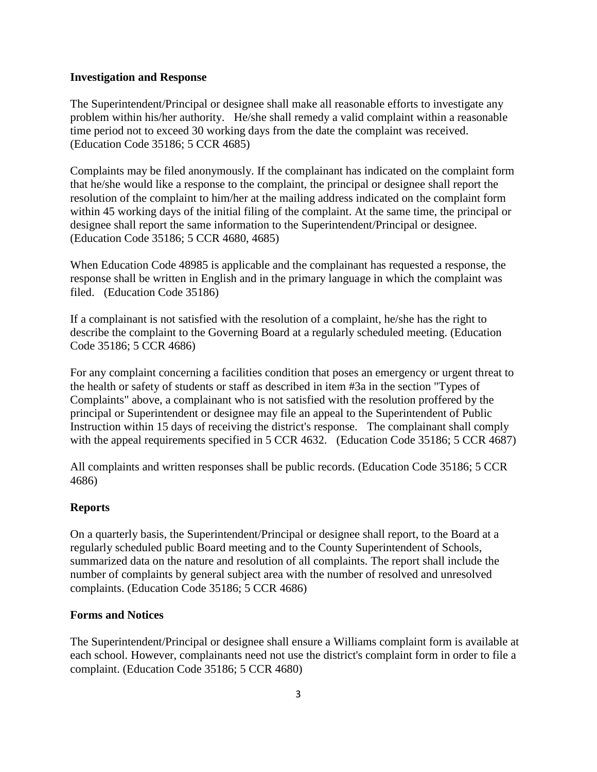### **Investigation and Response**

The Superintendent/Principal or designee shall make all reasonable efforts to investigate any problem within his/her authority. He/she shall remedy a valid complaint within a reasonable time period not to exceed 30 working days from the date the complaint was received. (Education Code 35186; 5 CCR 4685)

Complaints may be filed anonymously. If the complainant has indicated on the complaint form that he/she would like a response to the complaint, the principal or designee shall report the resolution of the complaint to him/her at the mailing address indicated on the complaint form within 45 working days of the initial filing of the complaint. At the same time, the principal or designee shall report the same information to the Superintendent/Principal or designee. (Education Code 35186; 5 CCR 4680, 4685)

When Education Code 48985 is applicable and the complainant has requested a response, the response shall be written in English and in the primary language in which the complaint was filed. (Education Code 35186)

If a complainant is not satisfied with the resolution of a complaint, he/she has the right to describe the complaint to the Governing Board at a regularly scheduled meeting. (Education Code 35186; 5 CCR 4686)

For any complaint concerning a facilities condition that poses an emergency or urgent threat to the health or safety of students or staff as described in item #3a in the section "Types of Complaints" above, a complainant who is not satisfied with the resolution proffered by the principal or Superintendent or designee may file an appeal to the Superintendent of Public Instruction within 15 days of receiving the district's response. The complainant shall comply with the appeal requirements specified in 5 CCR 4632. (Education Code 35186; 5 CCR 4687)

All complaints and written responses shall be public records. (Education Code 35186; 5 CCR 4686)

# **Reports**

On a quarterly basis, the Superintendent/Principal or designee shall report, to the Board at a regularly scheduled public Board meeting and to the County Superintendent of Schools, summarized data on the nature and resolution of all complaints. The report shall include the number of complaints by general subject area with the number of resolved and unresolved complaints. (Education Code 35186; 5 CCR 4686)

#### **Forms and Notices**

The Superintendent/Principal or designee shall ensure a Williams complaint form is available at each school. However, complainants need not use the district's complaint form in order to file a complaint. (Education Code 35186; 5 CCR 4680)